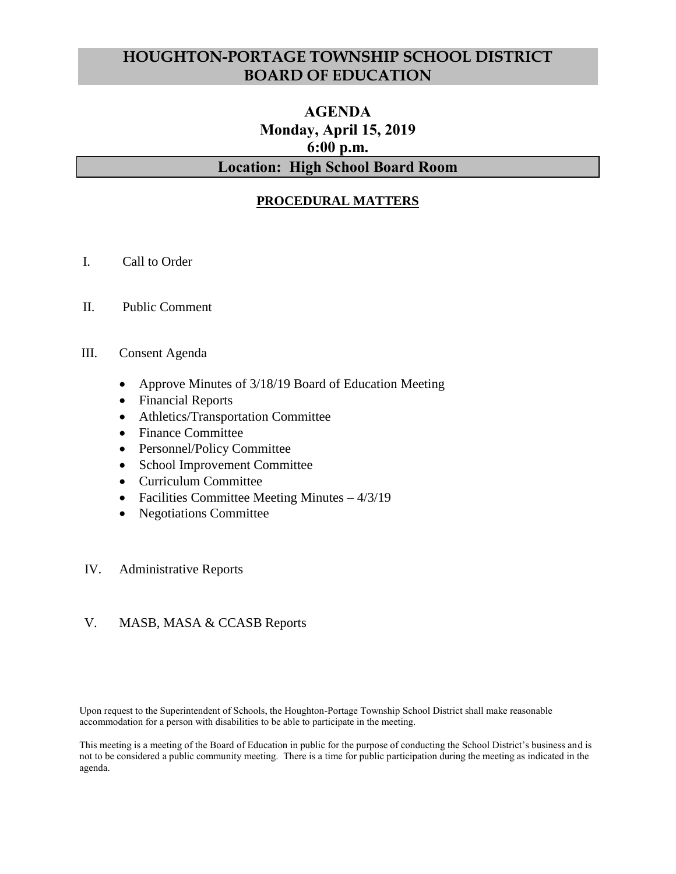# **HOUGHTON-PORTAGE TOWNSHIP SCHOOL DISTRICT BOARD OF EDUCATION**

# **AGENDA Monday, April 15, 2019 6:00 p.m. Location: High School Board Room**

### **PROCEDURAL MATTERS**

- I. Call to Order
- II. Public Comment
- III. Consent Agenda
	- Approve Minutes of 3/18/19 Board of Education Meeting
	- Financial Reports
	- Athletics/Transportation Committee
	- Finance Committee
	- Personnel/Policy Committee
	- School Improvement Committee
	- Curriculum Committee
	- Facilities Committee Meeting Minutes  $-4/3/19$
	- Negotiations Committee

#### IV. Administrative Reports

#### V. MASB, MASA & CCASB Reports

Upon request to the Superintendent of Schools, the Houghton-Portage Township School District shall make reasonable accommodation for a person with disabilities to be able to participate in the meeting.

This meeting is a meeting of the Board of Education in public for the purpose of conducting the School District's business and is not to be considered a public community meeting. There is a time for public participation during the meeting as indicated in the agenda.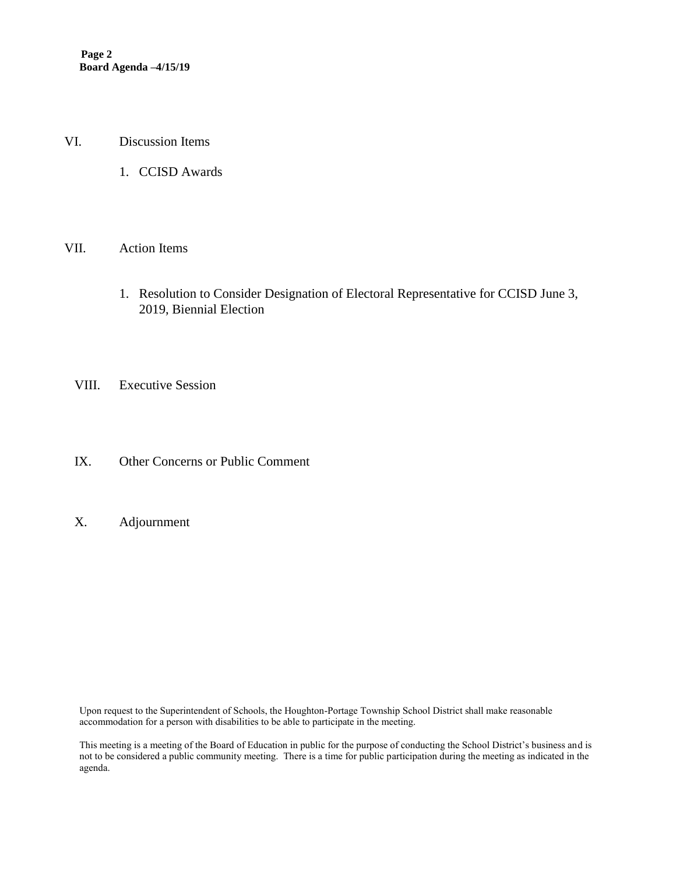- VI. Discussion Items
	- 1. CCISD Awards

#### VII. Action Items

- 1. Resolution to Consider Designation of Electoral Representative for CCISD June 3, 2019, Biennial Election
- VIII. Executive Session
- IX. Other Concerns or Public Comment
- X. Adjournment

Upon request to the Superintendent of Schools, the Houghton-Portage Township School District shall make reasonable accommodation for a person with disabilities to be able to participate in the meeting.

This meeting is a meeting of the Board of Education in public for the purpose of conducting the School District's business and is not to be considered a public community meeting. There is a time for public participation during the meeting as indicated in the agenda.